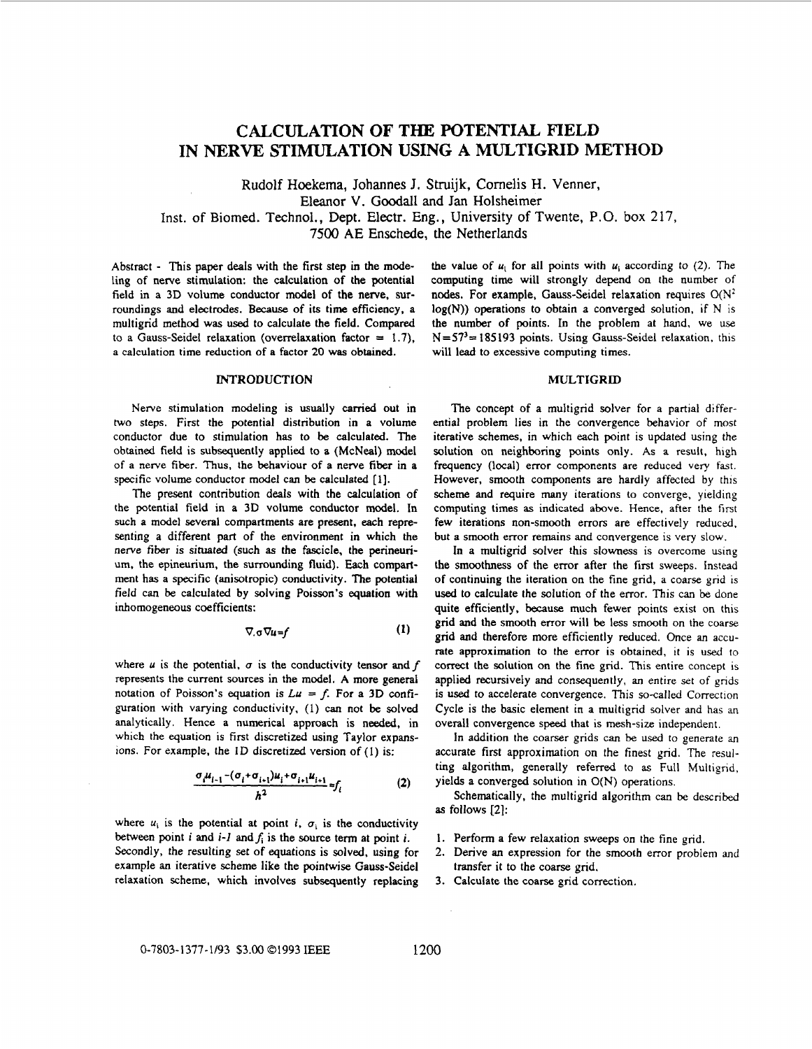# **CALCULATION OF THE POTENTIAL FIELD**  IN NERVE STIMULATION USING A MULTIGRID METHOD

Rudolf **Hoekema,** Johannes J. **Struijk,** Comelis H. Venner, Eleanor V. **Goodall and** Jan Holsheimer Inst. of Biomed. Technol., Dept. Electr. Eng., University of Twente, P.O. box 217, 7500 **AE** Enschede, the Netherlands

Abstract - This paper deals with the first step in the modeling of nerve stimulation: the calculation of the potential field in a 3D volume conductor model of the nerve. surroundings **and** electrodes. **Because** of its time efficiency, a multigrid method was used to calculate the field. Compared to a Gauss-Seidel relaxation (overrelaxation factor = **1.7).**  a calculation time reduction of a factor *20* was obtained,

## **INTRODUCTION**

Nerve stimulation modeling is usually **carried out** in **two** steps. First the potential distribution in a volume conductor due to stimulation has to be calculated. The obtained field is subsequently applied to a (McNeal) model of a nerve fiber. Thus, the behaviour of **a** nerve fiber in a specific volume conductor model can be calculated **[l].** 

The present contribution deals with the calculation of the potential field in a 3D volume conductor model. **In**  such a model several compartments are present, each representing a different part of the environment in which the nerve fiber is *situated* (such **as** the fascicle, the perineurium, the epineurium, the surrounding fluid). Each compartment has **a** specific (anisotropic) conductivity. **The** potential field can be calculated by solving Poisson's equation **with**  inhomogeneous coefficients:

$$
\nabla_{\alpha}\nabla_{\alpha} = f \tag{1}
$$

where  $u$  is the potential,  $\sigma$  is the conductivity tensor and  $f$ represents the current sources in the model. **A** more general notation of Poisson's equation is  $Lu = f$ . For a 3D configuration with varying conductivity, (1) *can* not **be** solved analytically. Hence **a** numerical approach is **needed,** in which the equation is first discretized using Taylor expansions. For example, the 1D discretized version of (1) is:

$$
\frac{\sigma_i \mu_{i-1} - (\sigma_i + \sigma_{i+1}) \mu_i + \sigma_{i+1} \mu_{i+1}}{h^2} = f_i
$$
 (2)

where  $u_i$  is the potential at point *i*,  $\sigma_i$  is the conductivity between point *i* and  $i$ -*l* and  $f_i$  is the source term at point *i*. Secondly, the resulting set of equations is **solved,** using for example **an** iterative scheme like the **pointwise** Gauss-Seidel relaxation scheme, which involves subsequently replacing the value of  $u_i$  for all points with  $u_i$  according to (2). The computing time will strongly depend **on** the **number** of **nodes. For** example, Gauss-Seidel relaxation requires **O(N2 log(N))** operations to obtain a converged solution, if N is the number of points. **In** the problem at hand, we use **N=57'=** 185193 points. Using Gauss-Seidel relaxation, this will **lead** to excessive computing times.

### **MULTIGRJD**

The concept of a multigrid solver for a partial differential problem lies in the convergence behavior of most iterative schemes, in which each point is **updated** using the solution **on** neighboring points only. **As a** result, high frequency (local) error components are reduced very fast. However, smooth components are hardly affected by this scheme and require many iterations to converge, yielding computing times **as** indicated **above.** Hence, after the first few iterations non-smooth errors are effectively reduced, but **a** smooth error remains **and** convergence is very slow.

**In** a multigrid solver this slowness is overcome using the smoothness of the error after the first sweeps. Instead of continuing the iteration **on** the fine grid, a coarse grid is **used** to calculate the solution of the error. This can be done quite efficiently, because much fewer points exist on this grid and the smooth error will be less smooth on the coarse grid and therefore more efficiently reduced. Once **an** accurate approximation to the error is obtained, it is used to correct the solution on the fine grid. This entire concept is applied recursively and consequently, **an** entire set of grids is **used** to accelerate convergence. This so-called Correction Cycle is the basic element in a multigrid solver and has **an**  overall convergence speed that is mesh-size independent.

**In** addition the coarser grids can be used to generate **an**  accurate first approximation on the finest grid. The resuiting algorithm, generally referred to **as** Full Multigrid, yields a converged solution in O(N) operations.

Schematically, the multigrid algorithm can be **described as** follows **[2]:** 

- 1. Perform a few relaxation sweeps on the fine grid.
- 2. Derive an expression for the smooth error problem and transfer it to the coarse grid.
- **3.**  Calculate the coarse grid correction.